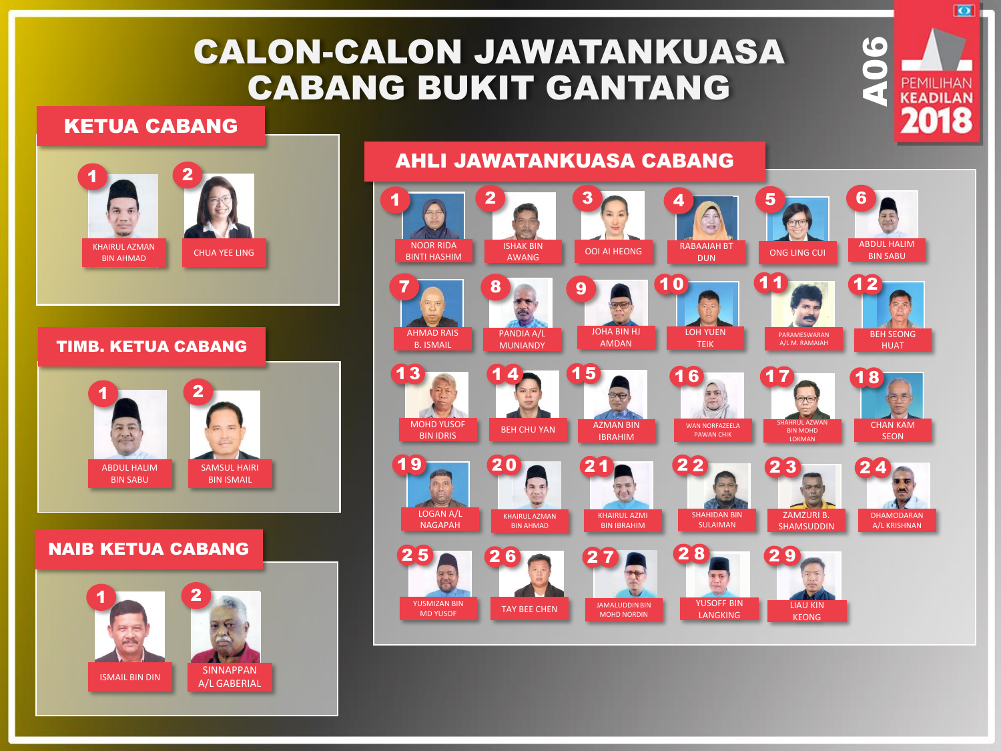## CALON-CALON JAWATANKUASA CABANG BUKIT GANTANG

AHLI JAWATANKUASA CABANG

#### KETUA CABANG





#### NOOR RIDA BINTI HASHIM ISHAK BIN AWANG  $1$   $\sim$   $\sqrt{2}$ OOI AI HEONG 3 ABDUL HALIM BIN SABU 6 AHMAD RAIS B. ISMAIL 7 PANDIA A/L MUNIANDY 8 WAN NORFAZEELA PAWAN CHIK 16 **III AZWA** BIN MOHD LOKMAN 17 CHAN KAM SEON 18 LOGAN A/L NAGAPAH 19 KHAIRUL AZMAN BIN AHMAD 20 KHAIRUL AZMI BIN IBRAHIM 21 SHAHIDAN BIN SULAIMAN 2 2 ZAMZURI B. **SHAMSUDDIN**  $2\overline{\smash{3}}$ DHAMODARAN A/L KRISHNAN  $2 \overline{)4}$ YUSMIZAN BIN MD YUSOF  $2\overline{\smash{\cdot}}5$ TAY BEE CHEN 2 6 JAMALUDDIN BIN MOHD NORDIN  $2\overline{7}$ YUSOFF BIN LANGKING 2 8 LIAU KIN KEONG 2 9 JOHA BIN HJ AMDAN LOH YUEN TEIK PARAMESWARAN A/L M. RAMAIAH BEH SEONG HUAT MOHD YUSOF BIN IDRIS AZMAN BIN IBRAHIM  $9$   $10$   $10$   $12$  $13$  14 15 10 11 RABAAIAH BT DUN **DUN** ONG LING CUI  $4 \overline{\phantom{0}}$  5 BEH CHU YAN 1 4

PEMILIHAN

 $\overline{\bullet}$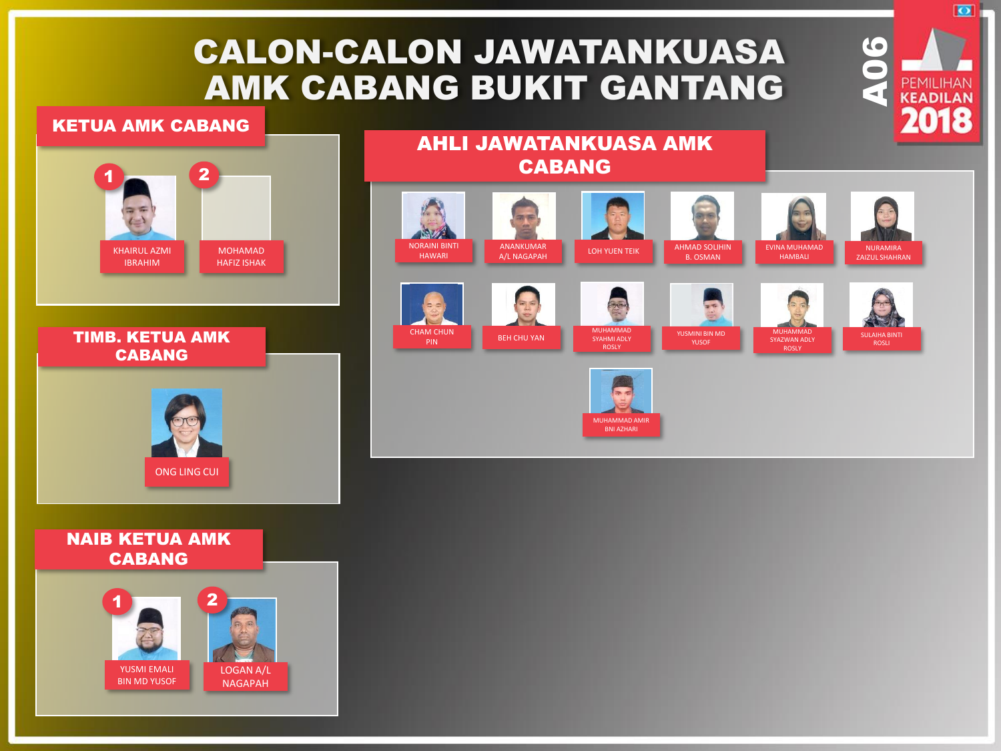## CALON-CALON JAWATANKUASA AMK CABANG BUKIT GANTANG

AHLI JAWATANKUASA AMK

#### KETUA AMK CABANG





CABANG NORAINI BINTI ANANKUMAR LOH YUEN TEIK AHMAD SOLIHIN A/L NAGAPAH ANANKUMAR EVINA MUHAMAD NURAMIRA HAWARI B. OSMAN ZAIZUL SHAHRAN HAMBALI  $\mathbb{Z}$ **MUHAMMAD** CHAM CHUN MUHAMMAD SYAZWAN ADLY **PIN** BEH CHU YAN SYAHMI ADLY



**ROSLY** 



YUSMINI BIN MD YUSOF

ROSLY

SULAIHA BINTI

# $\overline{\bullet}$ PEMILIHAN